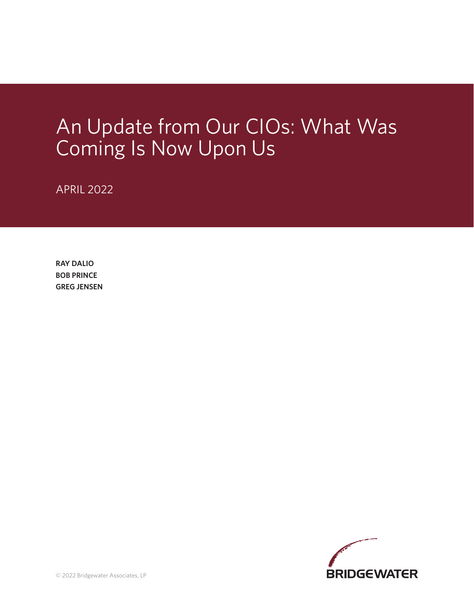# An Update from Our CIOs: What Was Coming Is Now Upon Us

APRIL 2022

**RAY DALIO BOB PRINCE GREG JENSEN**

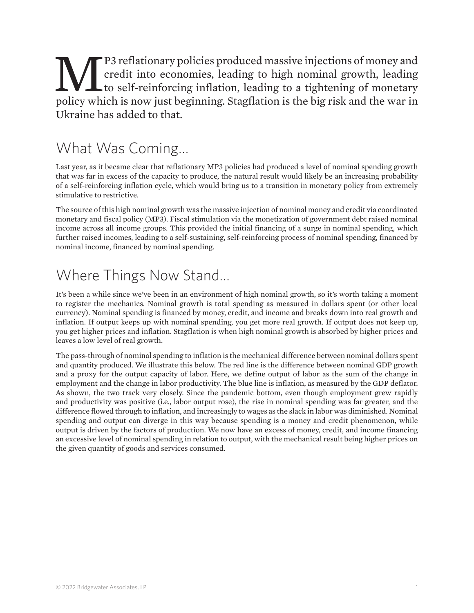#### **MP3** reflationary policies produced massive injections of money and credit into economies, leading to high nominal growth, leading to self-reinforcing inflation, leading to a tightening of monetary policy which is now jus credit into economies, leading to high nominal growth, leading to self-reinforcing inflation, leading to a tightening of monetary policy which is now just beginning. Stagflation is the big risk and the war in Ukraine has added to that.

#### What Was Coming…

Last year, as it became clear that reflationary MP3 policies had produced a level of nominal spending growth that was far in excess of the capacity to produce, the natural result would likely be an increasing probability of a self-reinforcing inflation cycle, which would bring us to a transition in monetary policy from extremely stimulative to restrictive.

The source of this high nominal growth was the massive injection of nominal money and credit via coordinated monetary and fiscal policy (MP3). Fiscal stimulation via the monetization of government debt raised nominal income across all income groups. This provided the initial financing of a surge in nominal spending, which further raised incomes, leading to a self-sustaining, self-reinforcing process of nominal spending, financed by nominal income, financed by nominal spending.

## Where Things Now Stand…

It's been a while since we've been in an environment of high nominal growth, so it's worth taking a moment to register the mechanics. Nominal growth is total spending as measured in dollars spent (or other local currency). Nominal spending is financed by money, credit, and income and breaks down into real growth and inflation. If output keeps up with nominal spending, you get more real growth. If output does not keep up, you get higher prices and inflation. Stagflation is when high nominal growth is absorbed by higher prices and leaves a low level of real growth.

The pass-through of nominal spending to inflation is the mechanical difference between nominal dollars spent and quantity produced. We illustrate this below. The red line is the difference between nominal GDP growth and a proxy for the output capacity of labor. Here, we define output of labor as the sum of the change in employment and the change in labor productivity. The blue line is inflation, as measured by the GDP deflator. As shown, the two track very closely. Since the pandemic bottom, even though employment grew rapidly and productivity was positive (i.e., labor output rose), the rise in nominal spending was far greater, and the difference flowed through to inflation, and increasingly to wages as the slack in labor was diminished. Nominal spending and output can diverge in this way because spending is a money and credit phenomenon, while output is driven by the factors of production. We now have an excess of money, credit, and income financing an excessive level of nominal spending in relation to output, with the mechanical result being higher prices on the given quantity of goods and services consumed.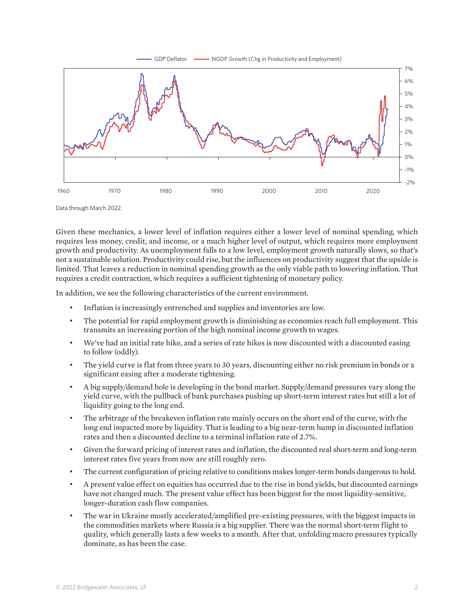



Data through March 2022.

Given these mechanics, a lower level of inflation requires either a lower level of nominal spending, which requires less money, credit, and income, or a much higher level of output, which requires more employment growth and productivity. As unemployment falls to a low level, employment growth naturally slows, so that's not a sustainable solution. Productivity could rise, but the influences on productivity suggest that the upside is limited. That leaves a reduction in nominal spending growth as the only viable path to lowering inflation. That requires a credit contraction, which requires a sufficient tightening of monetary policy.

In addition, we see the following characteristics of the current environment.

- Inflation is increasingly entrenched and supplies and inventories are low.
- The potential for rapid employment growth is diminishing as economies reach full employment. This transmits an increasing portion of the high nominal income growth to wages.
- We've had an initial rate hike, and a series of rate hikes is now discounted with a discounted easing to follow (oddly).
- The yield curve is flat from three years to 30 years, discounting either no risk premium in bonds or a significant easing after a moderate tightening.
- A big supply/demand hole is developing in the bond market. Supply/demand pressures vary along the yield curve, with the pullback of bank purchases pushing up short-term interest rates but still a lot of liquidity going to the long end.
- The arbitrage of the breakeven inflation rate mainly occurs on the short end of the curve, with the long end impacted more by liquidity. That is leading to a big near-term hump in discounted inflation rates and then a discounted decline to a terminal inflation rate of 2.7%.
- Given the forward pricing of interest rates and inflation, the discounted real short-term and long-term interest rates five years from now are still roughly zero.
- The current configuration of pricing relative to conditions makes longer-term bonds dangerous to hold.
- A present value effect on equities has occurred due to the rise in bond yields, but discounted earnings have not changed much. The present value effect has been biggest for the most liquidity-sensitive, longer-duration cash flow companies.
- The war in Ukraine mostly accelerated/amplified pre-existing pressures, with the biggest impacts in the commodities markets where Russia is a big supplier. There was the normal short-term flight to quality, which generally lasts a few weeks to a month. After that, unfolding macro pressures typically dominate, as has been the case.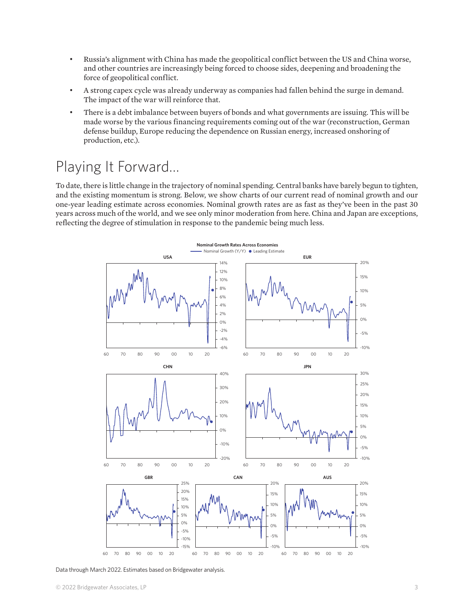- Russia's alignment with China has made the geopolitical conflict between the US and China worse, and other countries are increasingly being forced to choose sides, deepening and broadening the force of geopolitical conflict.
- A strong capex cycle was already underway as companies had fallen behind the surge in demand. The impact of the war will reinforce that.
- There is a debt imbalance between buyers of bonds and what governments are issuing. This will be made worse by the various financing requirements coming out of the war (reconstruction, German defense buildup, Europe reducing the dependence on Russian energy, increased onshoring of production, etc.).

#### Playing It Forward…

To date, there is little change in the trajectory of nominal spending. Central banks have barely begun to tighten, and the existing momentum is strong. Below, we show charts of our current read of nominal growth and our one-year leading estimate across economies. Nominal growth rates are as fast as they've been in the past 30 years across much of the world, and we see only minor moderation from here. China and Japan are exceptions, reflecting the degree of stimulation in response to the pandemic being much less.



Data through March 2022. Estimates based on Bridgewater analysis.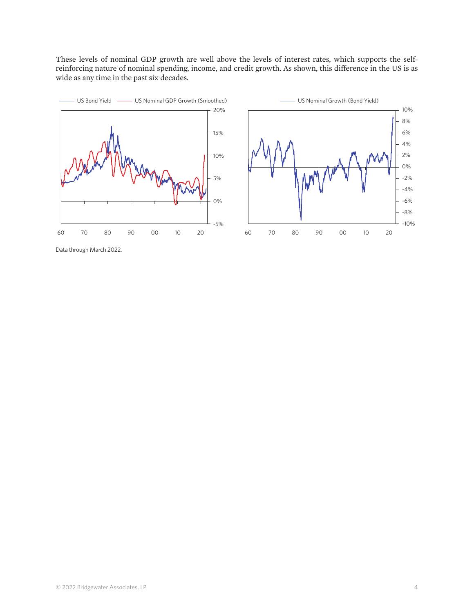These levels of nominal GDP growth are well above the levels of interest rates, which supports the selfreinforcing nature of nominal spending, income, and credit growth. As shown, this difference in the US is as wide as any time in the past six decades.





Data through March 2022.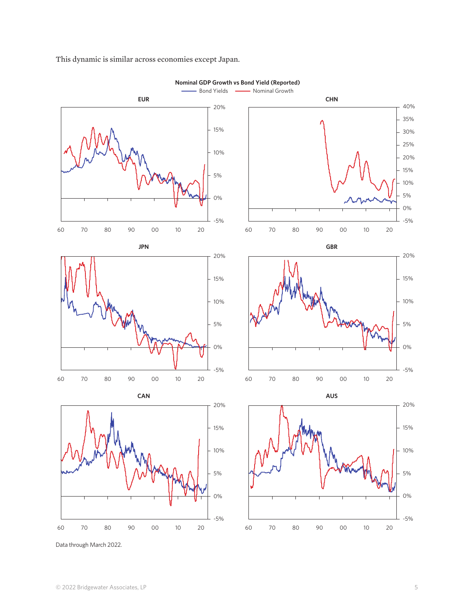

This dynamic is similar across economies except Japan.

Data through March 2022.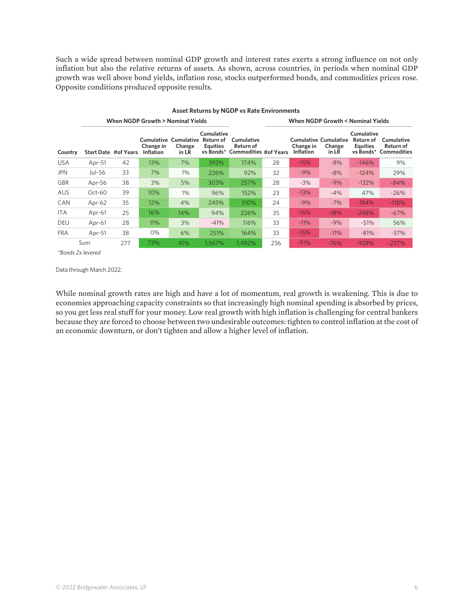Such a wide spread between nominal GDP growth and interest rates exerts a strong influence on not only inflation but also the relative returns of assets. As shown, across countries, in periods when nominal GDP growth was well above bond yields, inflation rose, stocks outperformed bonds, and commodities prices rose. Opposite conditions produced opposite results.

| <b>Asset Returns by NGDP vs Rate Environments</b> |                                   |                             |                               |                                                 |                                            |                                                            |                                   |                               |                                                 |                                            |                                                  |
|---------------------------------------------------|-----------------------------------|-----------------------------|-------------------------------|-------------------------------------------------|--------------------------------------------|------------------------------------------------------------|-----------------------------------|-------------------------------|-------------------------------------------------|--------------------------------------------|--------------------------------------------------|
| Country                                           | When NGDP Growth > Nominal Yields |                             |                               |                                                 |                                            |                                                            | When NGDP Growth < Nominal Yields |                               |                                                 |                                            |                                                  |
|                                                   |                                   | <b>Start Date #of Years</b> | Change in<br><b>Inflation</b> | <b>Cumulative Cumulative</b><br>Change<br>in LR | Cumulative<br>Return of<br><b>Equities</b> | Cumulative<br>Return of<br>vs Bonds* Commodities #of Years |                                   | Change in<br><b>Inflation</b> | <b>Cumulative Cumulative</b><br>Change<br>in LR | Cumulative<br>Return of<br><b>Equities</b> | Cumulative<br>Return of<br>vs Bonds* Commodities |
| <b>USA</b>                                        | Apr-51                            | 42                          | 13%                           | 7%                                              | 393%                                       | 174%                                                       | 28                                | $-15%$                        | $-8%$                                           | $-146%$                                    | 9%                                               |
| <b>JPN</b>                                        | Jul-56                            | 33                          | 7%                            | 1%                                              | 226%                                       | 92%                                                        | 32                                | $-9%$                         | $-8%$                                           | $-124%$                                    | 29%                                              |
| <b>GBR</b>                                        | Apr-56                            | 38                          | 3%                            | 5%                                              | 303%                                       | 257%                                                       | 28                                | $-3%$                         | $-9%$                                           | $-132%$                                    | $-84%$                                           |
| <b>AUS</b>                                        | $Oct-60$                          | 39                          | 10%                           | 1%                                              | 96%                                        | 152%                                                       | 23                                | $-13%$                        | $-4%$                                           | 47%                                        | $-26%$                                           |
| CAN                                               | Apr-62                            | 35                          | 12%                           | 4%                                              | 245%                                       | 310%                                                       | 24                                | $-9%$                         | $-7%$                                           | $-194%$                                    | $-118%$                                          |
| <b>ITA</b>                                        | Apr-61                            | 25                          | 16%                           | 14%                                             | 94%                                        | 226%                                                       | 35                                | $-16%$                        | $-18%$                                          | $-248%$                                    | $-67%$                                           |
| <b>DEU</b>                                        | Apr-61                            | 28                          | 11%                           | 3%                                              | $-41%$                                     | 116%                                                       | 33                                | $-11%$                        | $-9%$                                           | $-51%$                                     | 56%                                              |
| <b>FRA</b>                                        | Apr-51                            | 38                          | 0%                            | 6%                                              | 251%                                       | 164%                                                       | 33                                | $-15%$                        | $-11%$                                          | $-81%$                                     | $-37%$                                           |
| Sum                                               |                                   | 277                         | 73%                           | 41%                                             | 1.567%                                     | 1,492%                                                     | 236                               | $-91%$                        | $-76%$                                          | $-928%$                                    | $-237%$                                          |

*\*Bonds 2x levered*

Data through March 2022.

While nominal growth rates are high and have a lot of momentum, real growth is weakening. This is due to economies approaching capacity constraints so that increasingly high nominal spending is absorbed by prices, so you get less real stuff for your money. Low real growth with high inflation is challenging for central bankers because they are forced to choose between two undesirable outcomes: tighten to control inflation at the cost of an economic downturn, or don't tighten and allow a higher level of inflation.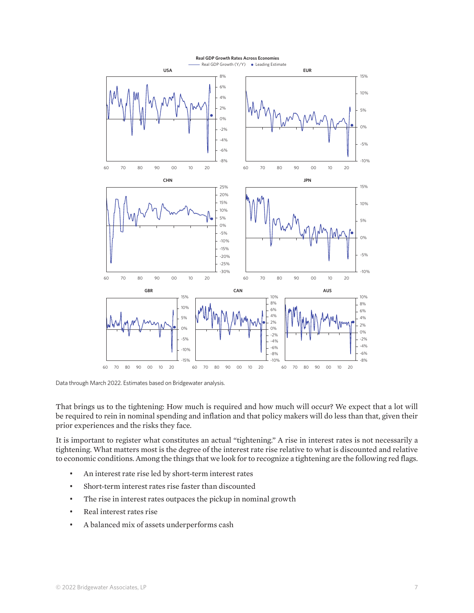

Data through March 2022. Estimates based on Bridgewater analysis.

That brings us to the tightening: How much is required and how much will occur? We expect that a lot will be required to rein in nominal spending and inflation and that policy makers will do less than that, given their prior experiences and the risks they face.

It is important to register what constitutes an actual "tightening." A rise in interest rates is not necessarily a tightening. What matters most is the degree of the interest rate rise relative to what is discounted and relative to economic conditions. Among the things that we look for to recognize a tightening are the following red flags.

- An interest rate rise led by short-term interest rates
- Short-term interest rates rise faster than discounted
- The rise in interest rates outpaces the pickup in nominal growth
- Real interest rates rise
- A balanced mix of assets underperforms cash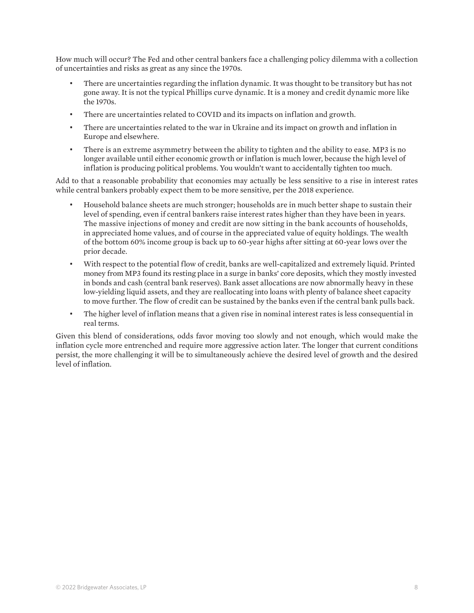How much will occur? The Fed and other central bankers face a challenging policy dilemma with a collection of uncertainties and risks as great as any since the 1970s.

- There are uncertainties regarding the inflation dynamic. It was thought to be transitory but has not gone away. It is not the typical Phillips curve dynamic. It is a money and credit dynamic more like the 1970s.
- There are uncertainties related to COVID and its impacts on inflation and growth.
- There are uncertainties related to the war in Ukraine and its impact on growth and inflation in Europe and elsewhere.
- There is an extreme asymmetry between the ability to tighten and the ability to ease. MP3 is no longer available until either economic growth or inflation is much lower, because the high level of inflation is producing political problems. You wouldn't want to accidentally tighten too much.

Add to that a reasonable probability that economies may actually be less sensitive to a rise in interest rates while central bankers probably expect them to be more sensitive, per the 2018 experience.

- Household balance sheets are much stronger; households are in much better shape to sustain their level of spending, even if central bankers raise interest rates higher than they have been in years. The massive injections of money and credit are now sitting in the bank accounts of households, in appreciated home values, and of course in the appreciated value of equity holdings. The wealth of the bottom 60% income group is back up to 60-year highs after sitting at 60-year lows over the prior decade.
- With respect to the potential flow of credit, banks are well-capitalized and extremely liquid. Printed money from MP3 found its resting place in a surge in banks' core deposits, which they mostly invested in bonds and cash (central bank reserves). Bank asset allocations are now abnormally heavy in these low-yielding liquid assets, and they are reallocating into loans with plenty of balance sheet capacity to move further. The flow of credit can be sustained by the banks even if the central bank pulls back.
- The higher level of inflation means that a given rise in nominal interest rates is less consequential in real terms.

Given this blend of considerations, odds favor moving too slowly and not enough, which would make the inflation cycle more entrenched and require more aggressive action later. The longer that current conditions persist, the more challenging it will be to simultaneously achieve the desired level of growth and the desired level of inflation.